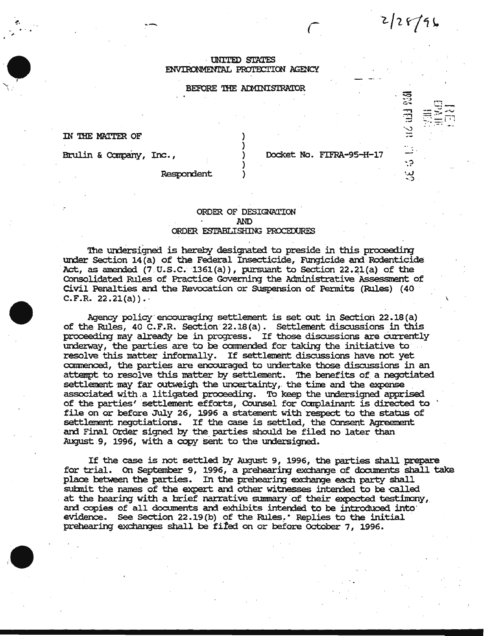## UNITED STATES

ENVIRONMENTAL PROTECTION AGENCY

## BEFORE THE ADMINISTRATOR

IN THE MATTER OF

Brulin & Company, Inc.,

Docket No. FIFRA-95-H-17

 $2/28/96$ 

45 1.3 MS till 950

Respondent

## ORDER OF DESIGNATION **AND** ORDER ESTABLISHING PROCEDURES

The undersigned is hereby designated to preside in this proceeding under Section 14(a) of the Federal Insecticide, Fungicide and Rodenticide Act, as amended  $(7.0.5.0.1361(a))$ , pursuant to Section 22.21(a) of the Consolidated Rules of Practice Governing the Administrative Assessment of Civil Penalties and the Revocation or Suspension of Permits (Rules) (40  $C.F.R. 22.21(a)$ .

Agency policy encouraging settlement is set out in Section 22.18(a) of the Rules, 40 C.F.R. Section 22.18(a). Settlement discussions in this proceeding may already be in progress. If those discussions are currently underway, the parties are to be commended for taking the initiative to resolve this matter informally. If settlement discussions have not yet commenced, the parties are encouraged to undertake those discussions in an attempt to resolve this matter by settlement. The benefits of a negotiated settlement may far outweigh the uncertainty, the time and the expense associated with a litigated proceeding. To keep the undersigned apprised of the parties' settlement efforts, Counsel for Complainant is directed to file on or before July 26, 1996 a statement with respect to the status of settlement negotiations. If the case is settled, the Consent Agreement and Final Order signed by the parties should be filed no later than August 9, 1996, with a copy sent to the undersigned.

If the case is not settled by August 9, 1996, the parties shall prepare for trial. On September 9, 1996, a prehearing exchange of documents shall take place between the parties. In the prehearing exchange each party shall submit the names of the expert and other witnesses intended to be called at the hearing with a brief narrative summary of their expected testimony, and copies of all documents and exhibits intended to be introduced into: evidence. See Section 22.19(b) of the Rules. Replies to the initial prehearing exchanges shall be fifed on or before October 7, 1996.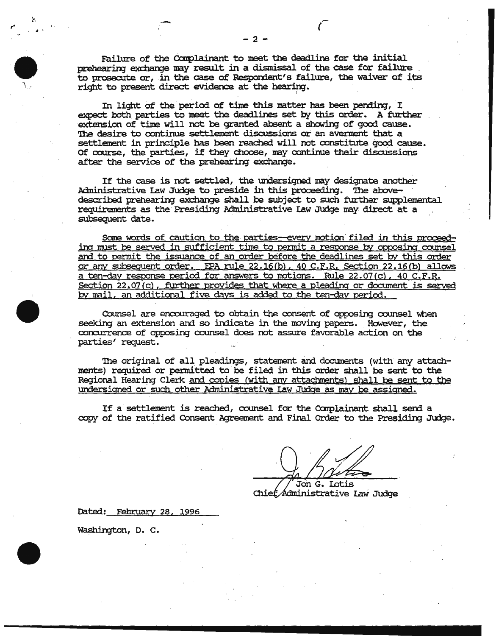Failure of the Complainant to meet the deadline for the initial prehearing exchange may result in a dismissal of the case for failure to prosecute or, in the case of Respondent's failure, the waiver of its right to present direct evidence at the hearing.

In light of the period of time this matter has been pending, I expect both parties to meet the deadlines set by this order. A further extension of time will not be granted absent a showing of good cause. The desire to continue settlement discussions or an averment that a settlement in principle has been reached will not constitute good cause. Of course, the parties, if they choose, may continue their discussions after the service of the prehearing exchange.

If the case is not settled, the undersigned may designate another Administrative Law Judge to preside in this proceeding. The abovedescribed prehearing exchange shall be subject to such further supplemental requirements as the Presiding Administrative Law Judge may direct at a subsequent date.

<u>Some words of caution to the parties-every motion filed in this proceed-</u> ing must be served in sufficient time to permit a response by opposing counsel and to permit the issuance of an order before the deadlines set by this order or any subsequent order. EPA rule 22.16(b), 40 C.F.R. Section 22.16(b) allows a ten-day response period for answers to motions. Rule 22.07(c), 40 C.F.R. Section 22.07(c), further provides that where a pleading or document is served by mail, an additional five days is added to the ten-day period.

Counsel are encouraged to obtain the consent of opposing counsel when seeking an extension and so indicate in the moving papers. However, the concurrence of opposing counsel does not assure favorable action on the parties' request.

The original of all pleadings, statement and documents (with any attachments) required or permitted to be filed in this order shall be sent to the Regional Hearing Clerk and copies (with any attachments) shall be sent to the <u>undersigned or such other Administrative Law Judge as may be assigned.</u>

If a settlement is reached, counsel for the Complainant shall send a copy of the ratified Consent Agreement and Final Order to the Presiding Judge.

Jon G. Lotis Chief Administrative Law Judge

Dated: February 28, 1996

Washington, D. C.